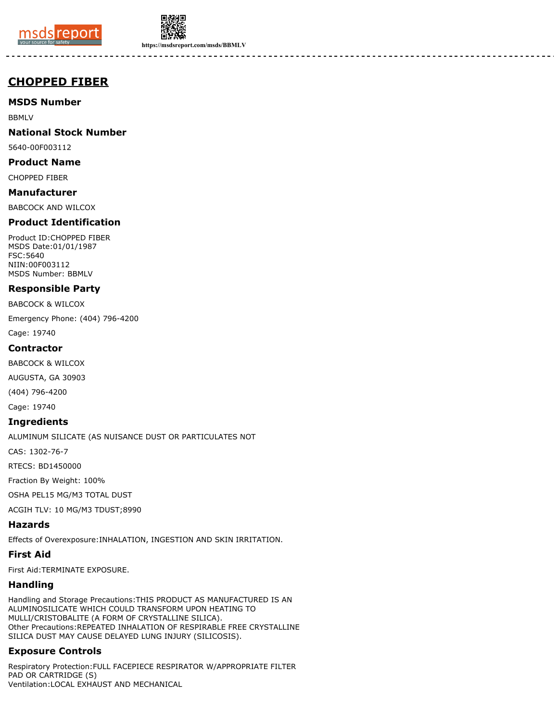



**https://msdsreport.com/msds/BBMLV**

-------

# **CHOPPED FIBER**

## **MSDS Number**

BBMLV

## **National Stock Number**

5640-00F003112

#### **Product Name**

CHOPPED FIBER

## **Manufacturer**

BABCOCK AND WILCOX

## **Product Identification**

Product ID:CHOPPED FIBER MSDS Date:01/01/1987 FSC:5640 NIIN:00F003112 MSDS Number: BBMLV

## **Responsible Party**

BABCOCK & WILCOX

Emergency Phone: (404) 796-4200

Cage: 19740

#### **Contractor**

BABCOCK & WILCOX

AUGUSTA, GA 30903

(404) 796-4200

Cage: 19740

#### **Ingredients**

ALUMINUM SILICATE (AS NUISANCE DUST OR PARTICULATES NOT

CAS: 1302-76-7

RTECS: BD1450000

Fraction By Weight: 100%

OSHA PEL15 MG/M3 TOTAL DUST

ACGIH TLV: 10 MG/M3 TDUST;8990

#### **Hazards**

Effects of Overexposure:INHALATION, INGESTION AND SKIN IRRITATION.

## **First Aid**

First Aid:TERMINATE EXPOSURE.

## **Handling**

Handling and Storage Precautions:THIS PRODUCT AS MANUFACTURED IS AN ALUMINOSILICATE WHICH COULD TRANSFORM UPON HEATING TO MULLI/CRISTOBALITE (A FORM OF CRYSTALLINE SILICA). Other Precautions:REPEATED INHALATION OF RESPIRABLE FREE CRYSTALLINE SILICA DUST MAY CAUSE DELAYED LUNG INJURY (SILICOSIS).

# **Exposure Controls**

Respiratory Protection:FULL FACEPIECE RESPIRATOR W/APPROPRIATE FILTER PAD OR CARTRIDGE (S) Ventilation:LOCAL EXHAUST AND MECHANICAL